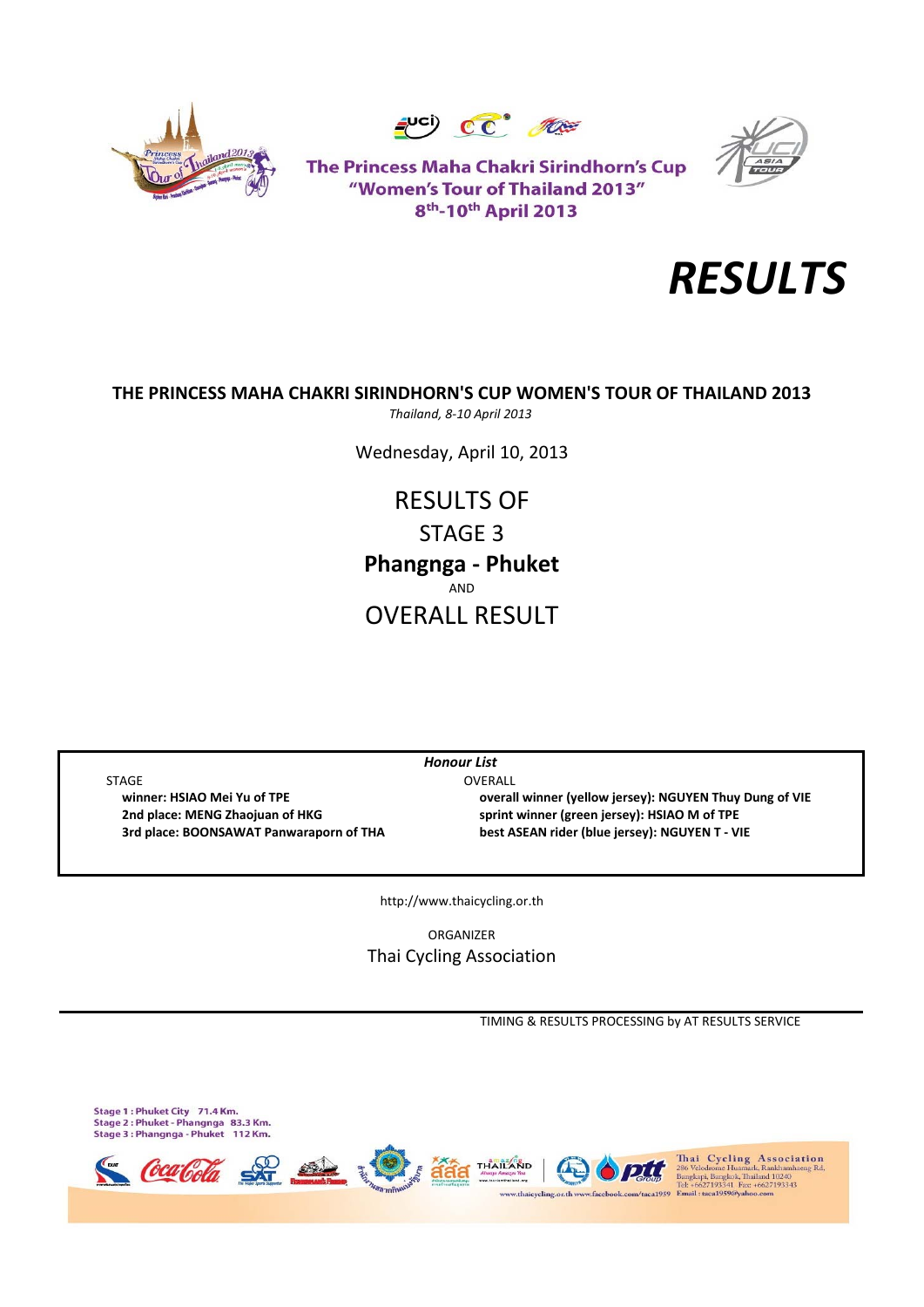





The Princess Maha Chakri Sirindhorn's Cup "Women's Tour of Thailand 2013" 8<sup>th</sup>-10<sup>th</sup> April 2013



# **THE PRINCESS MAHA CHAKRI SIRINDHORN'S CUP WOMEN'S TOUR OF THAILAND 2013**

*Thailand, 8‐10 April 2013*

Wednesday, April 10, 2013

**Phangnga ‐ Phuket** AND OVERALL RESULT RESULTS OF STAGE 3

STAGE OVERALL

 **winner: HSIAO Mei Yu of TPE overall winner (yellow jersey): NGUYEN Thuy Dung of VIE 2nd place: MENG Zhaojuan of HKG sprint winner (green jersey): HSIAO M of TPE 3rd place: BOONSAWAT Panwaraporn of THA best ASEAN rider (blue jersey): NGUYEN T ‐ VIE**

http://www.thaicycling.or.th

*Honour List*

ORGANIZER Thai Cycling Association

TIMING & RESULTS PROCESSING by AT RESULTS SERVICE

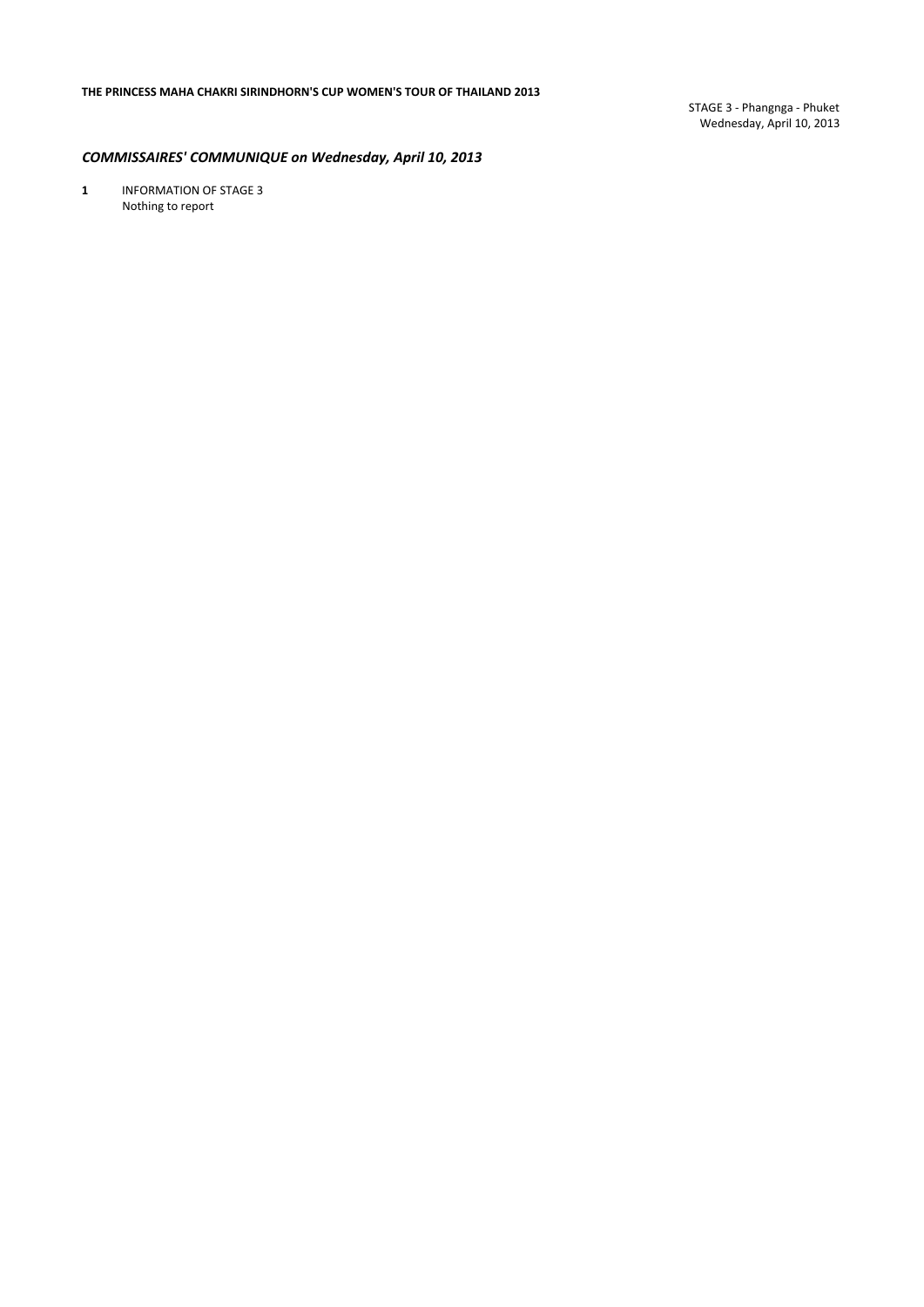STAGE 3 ‐ Phangnga ‐ Phuket Wednesday, April 10, 2013

## *COMMISSAIRES' COMMUNIQUE on Wednesday, April 10, 2013*

**1** INFORMATION OF STAGE 3 Nothing to report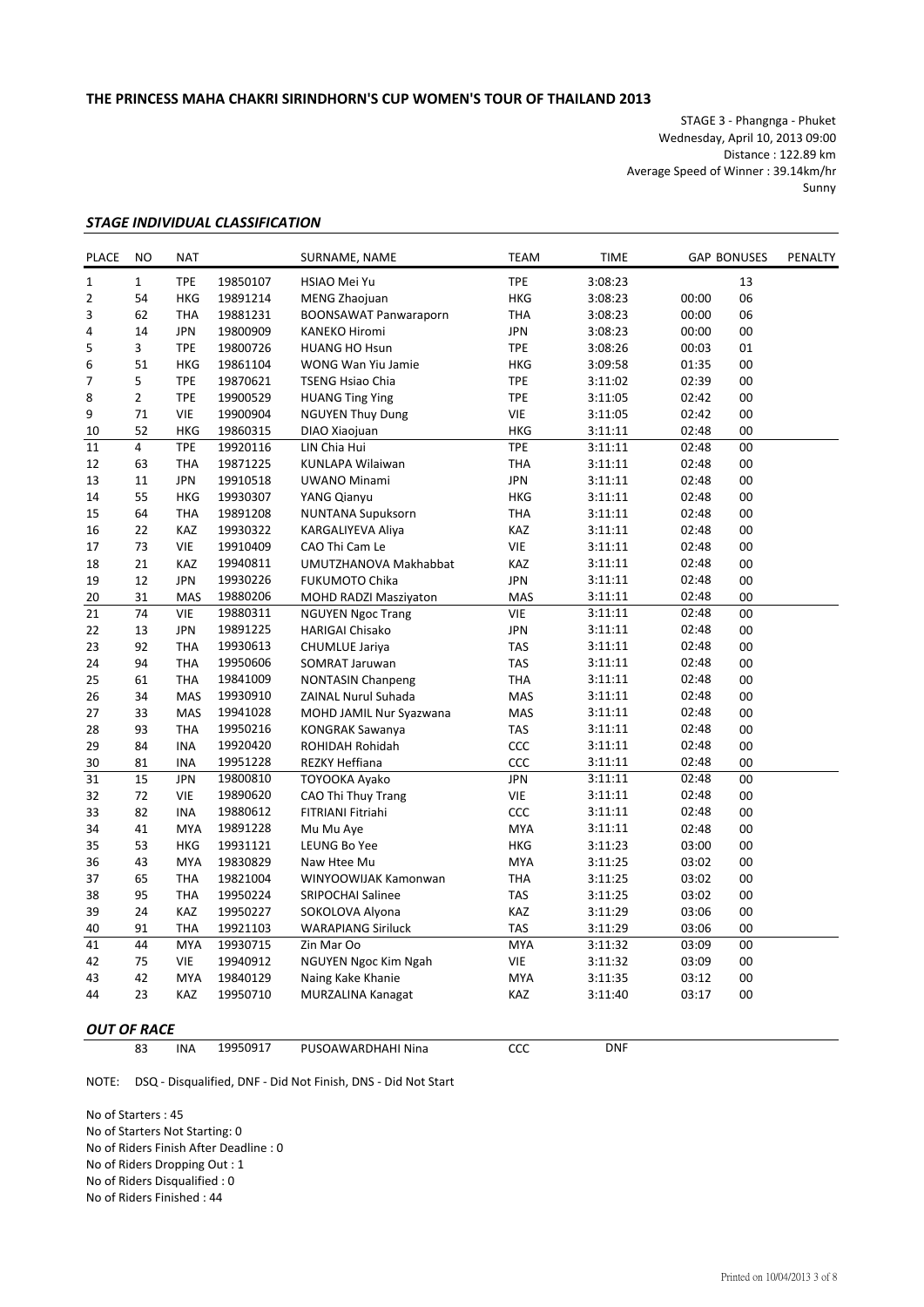STAGE 3 ‐ Phangnga ‐ Phuket Wednesday, April 10, 2013 09:00 Distance : 122.89 km Average Speed of Winner : 39.14km/hr Sunny

#### *STAGE INDIVIDUAL CLASSIFICATION*

| <b>PLACE</b> | <b>NO</b>      | <b>NAT</b> |          | SURNAME, NAME                | <b>TEAM</b> | <b>TIME</b> |       | <b>GAP BONUSES</b> | PENALTY |
|--------------|----------------|------------|----------|------------------------------|-------------|-------------|-------|--------------------|---------|
| $\mathbf{1}$ | $\mathbf{1}$   | <b>TPE</b> | 19850107 | <b>HSIAO Mei Yu</b>          | <b>TPE</b>  | 3:08:23     |       | 13                 |         |
| 2            | 54             | <b>HKG</b> | 19891214 | MENG Zhaojuan                | <b>HKG</b>  | 3:08:23     | 00:00 | 06                 |         |
| 3            | 62             | <b>THA</b> | 19881231 | <b>BOONSAWAT Panwaraporn</b> | <b>THA</b>  | 3:08:23     | 00:00 | 06                 |         |
| 4            | 14             | <b>JPN</b> | 19800909 | <b>KANEKO Hiromi</b>         | <b>JPN</b>  | 3:08:23     | 00:00 | 00                 |         |
| 5            | 3              | <b>TPE</b> | 19800726 | <b>HUANG HO Hsun</b>         | <b>TPE</b>  | 3:08:26     | 00:03 | 01                 |         |
| 6            | 51             | <b>HKG</b> | 19861104 | WONG Wan Yiu Jamie           | <b>HKG</b>  | 3:09:58     | 01:35 | 00                 |         |
| 7            | 5              | <b>TPE</b> | 19870621 | <b>TSENG Hsiao Chia</b>      | <b>TPE</b>  | 3:11:02     | 02:39 | 00                 |         |
| 8            | $\overline{2}$ | <b>TPE</b> | 19900529 | <b>HUANG Ting Ying</b>       | <b>TPE</b>  | 3:11:05     | 02:42 | 00                 |         |
| 9            | 71             | VIE        | 19900904 | <b>NGUYEN Thuy Dung</b>      | VIE         | 3:11:05     | 02:42 | 00                 |         |
| 10           | 52             | <b>HKG</b> | 19860315 | DIAO Xiaojuan                | <b>HKG</b>  | 3:11:11     | 02:48 | 00                 |         |
| 11           | 4              | <b>TPE</b> | 19920116 | LIN Chia Hui                 | <b>TPE</b>  | 3:11:11     | 02:48 | 00                 |         |
| 12           | 63             | <b>THA</b> | 19871225 | KUNLAPA Wilaiwan             | <b>THA</b>  | 3:11:11     | 02:48 | 00                 |         |
| 13           | 11             | JPN        | 19910518 | <b>UWANO Minami</b>          | <b>JPN</b>  | 3:11:11     | 02:48 | 00                 |         |
| 14           | 55             | <b>HKG</b> | 19930307 | YANG Qianyu                  | <b>HKG</b>  | 3:11:11     | 02:48 | 00                 |         |
| 15           | 64             | <b>THA</b> | 19891208 | <b>NUNTANA Supuksorn</b>     | <b>THA</b>  | 3:11:11     | 02:48 | 00                 |         |
| 16           | 22             | KAZ        | 19930322 | KARGALIYEVA Aliya            | KAZ         | 3:11:11     | 02:48 | 00                 |         |
| 17           | 73             | VIE        | 19910409 | CAO Thi Cam Le               | <b>VIE</b>  | 3:11:11     | 02:48 | 00                 |         |
| 18           | 21             | <b>KAZ</b> | 19940811 | UMUTZHANOVA Makhabbat        | KAZ         | 3:11:11     | 02:48 | 00                 |         |
| 19           | 12             | <b>JPN</b> | 19930226 | FUKUMOTO Chika               | <b>JPN</b>  | 3:11:11     | 02:48 | 00                 |         |
| 20           | 31             | MAS        | 19880206 | MOHD RADZI Masziyaton        | MAS         | 3:11:11     | 02:48 | 00                 |         |
| 21           | 74             | <b>VIE</b> | 19880311 | <b>NGUYEN Ngoc Trang</b>     | <b>VIE</b>  | 3:11:11     | 02:48 | 00                 |         |
| 22           | 13             | JPN        | 19891225 | <b>HARIGAI Chisako</b>       | <b>JPN</b>  | 3:11:11     | 02:48 | 00                 |         |
| 23           | 92             | <b>THA</b> | 19930613 | <b>CHUMLUE Jariya</b>        | <b>TAS</b>  | 3:11:11     | 02:48 | 00                 |         |
| 24           | 94             | <b>THA</b> | 19950606 | SOMRAT Jaruwan               | <b>TAS</b>  | 3:11:11     | 02:48 | 00                 |         |
| 25           | 61             | <b>THA</b> | 19841009 | <b>NONTASIN Chanpeng</b>     | <b>THA</b>  | 3:11:11     | 02:48 | 00                 |         |
| 26           | 34             | MAS        | 19930910 | ZAINAL Nurul Suhada          | MAS         | 3:11:11     | 02:48 | 00                 |         |
| 27           | 33             | MAS        | 19941028 | MOHD JAMIL Nur Syazwana      | MAS         | 3:11:11     | 02:48 | 00                 |         |
| 28           | 93             | <b>THA</b> | 19950216 | KONGRAK Sawanya              | <b>TAS</b>  | 3:11:11     | 02:48 | 00                 |         |
| 29           | 84             | <b>INA</b> | 19920420 | ROHIDAH Rohidah              | CCC         | 3:11:11     | 02:48 | 00                 |         |
| 30           | 81             | <b>INA</b> | 19951228 | REZKY Heffiana               | CCC         | 3:11:11     | 02:48 | 00                 |         |
| 31           | 15             | <b>JPN</b> | 19800810 | TOYOOKA Ayako                | <b>JPN</b>  | 3:11:11     | 02:48 | 00                 |         |
| 32           | 72             | <b>VIE</b> | 19890620 | CAO Thi Thuy Trang           | <b>VIE</b>  | 3:11:11     | 02:48 | 00                 |         |
| 33           | 82             | <b>INA</b> | 19880612 | FITRIANI Fitriahi            | CCC         | 3:11:11     | 02:48 | 00                 |         |
| 34           | 41             | <b>MYA</b> | 19891228 | Mu Mu Aye                    | <b>MYA</b>  | 3:11:11     | 02:48 | 00                 |         |
| 35           | 53             | <b>HKG</b> | 19931121 | LEUNG Bo Yee                 | HKG         | 3:11:23     | 03:00 | 00                 |         |
| 36           | 43             | <b>MYA</b> | 19830829 | Naw Htee Mu                  | <b>MYA</b>  | 3:11:25     | 03:02 | 00                 |         |
| 37           | 65             | <b>THA</b> | 19821004 | WINYOOWIJAK Kamonwan         | <b>THA</b>  | 3:11:25     | 03:02 | 00                 |         |
| 38           | 95             | <b>THA</b> | 19950224 | SRIPOCHAI Salinee            | <b>TAS</b>  | 3:11:25     | 03:02 | 00                 |         |
| 39           | 24             | KAZ        | 19950227 | SOKOLOVA Alyona              | KAZ         | 3:11:29     | 03:06 | 00                 |         |
| 40           | 91             | <b>THA</b> | 19921103 | <b>WARAPIANG Siriluck</b>    | <b>TAS</b>  | 3:11:29     | 03:06 | 00                 |         |
| 41           | 44             | <b>MYA</b> | 19930715 | Zin Mar Oo                   | <b>MYA</b>  | 3:11:32     | 03:09 | 00                 |         |
| 42           | 75             | <b>VIE</b> | 19940912 | NGUYEN Ngoc Kim Ngah         | <b>VIE</b>  | 3:11:32     | 03:09 | 00                 |         |
| 43           | 42             | <b>MYA</b> | 19840129 | Naing Kake Khanie            | <b>MYA</b>  | 3:11:35     | 03:12 | 00                 |         |
| 44           | 23             | KAZ        | 19950710 | MURZALINA Kanagat            | <b>KAZ</b>  | 3:11:40     | 03:17 | 00                 |         |

#### *OUT OF RACE*

19950917

83 INA 19950917 PUSOAWARDHAHI Nina CCC

DNF

NOTE: DSQ ‐ Disqualified, DNF ‐ Did Not Finish, DNS ‐ Did Not Start

No of Starters : 45 No of Starters Not Starting: 0 No of Riders Finish After Deadline : 0 No of Riders Dropping Out : 1 No of Riders Disqualified : 0 No of Riders Finished : 44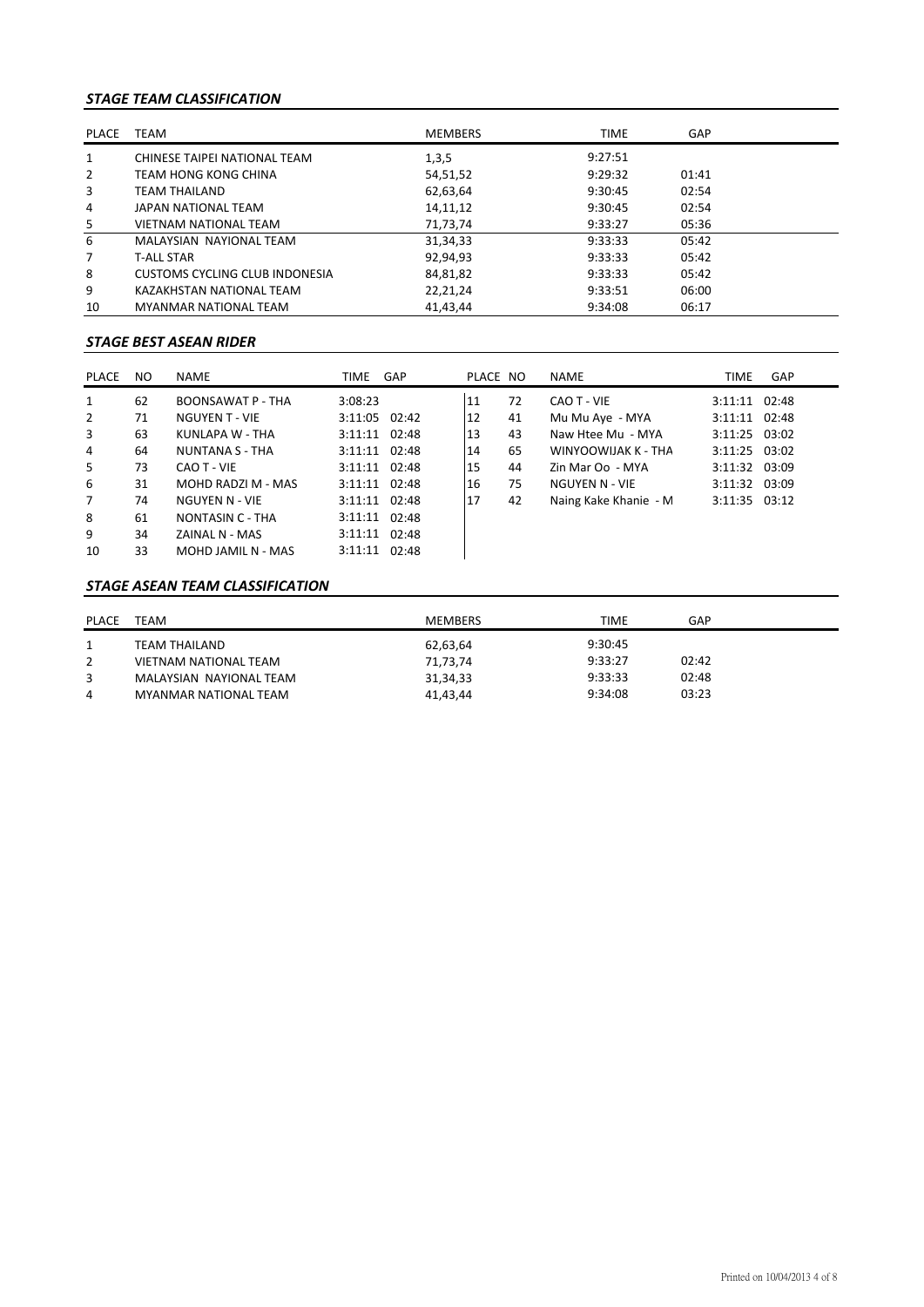## *STAGE TEAM CLASSIFICATION*

| PLACE          | <b>TEAM</b>                    | <b>MEMBERS</b> | <b>TIME</b> | GAP   |  |
|----------------|--------------------------------|----------------|-------------|-------|--|
| $\mathbf{1}$   | CHINESE TAIPEI NATIONAL TEAM   | 1,3,5          | 9:27:51     |       |  |
| $\overline{2}$ | <b>TEAM HONG KONG CHINA</b>    | 54,51,52       | 9:29:32     | 01:41 |  |
| 3              | TEAM THAILAND                  | 62,63,64       | 9:30:45     | 02:54 |  |
| 4              | JAPAN NATIONAL TEAM            | 14,11,12       | 9:30:45     | 02:54 |  |
| 5              | <b>VIETNAM NATIONAL TEAM</b>   | 71,73,74       | 9:33:27     | 05:36 |  |
| 6              | MALAYSIAN NAYIONAL TEAM        | 31,34,33       | 9:33:33     | 05:42 |  |
| 7              | <b>T-ALL STAR</b>              | 92,94,93       | 9:33:33     | 05:42 |  |
| 8              | CUSTOMS CYCLING CLUB INDONESIA | 84,81,82       | 9:33:33     | 05:42 |  |
| 9              | KAZAKHSTAN NATIONAL TEAM       | 22,21,24       | 9:33:51     | 06:00 |  |
| 10             | MYANMAR NATIONAL TEAM          | 41,43,44       | 9:34:08     | 06:17 |  |

# *STAGE BEST ASEAN RIDER*

| PLACE          | NO. | NAME                  | TIME              | GAP | PLACE NO |    | NAME                  | <b>TIME</b>       | <b>GAP</b> |
|----------------|-----|-----------------------|-------------------|-----|----------|----|-----------------------|-------------------|------------|
| 1              | 62  | BOONSAWAT P - THA     | 3:08:23           |     | 11       | 72 | CAO T - VIE           | 3:11:11 02:48     |            |
| $\overline{2}$ | 71  | <b>NGUYEN T - VIE</b> | $3:11:05$ $02:42$ |     | 12       | 41 | Mu Mu Aye - MYA       | $3:11:11$ $02:48$ |            |
| $\overline{3}$ | 63  | KUNLAPA W - THA       | $3:11:11$ $02:48$ |     | 13       | 43 | Naw Htee Mu - MYA     | $3:11:25$ 03:02   |            |
| 4              | 64  | NUNTANA S - THA       | $3:11:11$ $02:48$ |     | 14       | 65 | WINYOOWIJAK K - THA   | $3:11:25$ 03:02   |            |
| 5              | 73  | CAO T - VIE           | $3:11:11$ $02:48$ |     | 15       | 44 | Zin Mar Oo - MYA      | 3:11:32 03:09     |            |
| 6              | 31  | MOHD RADZI M - MAS    | $3:11:11$ $02:48$ |     | 16       | 75 | NGUYEN N - VIE        | 3:11:32 03:09     |            |
| $\overline{7}$ | 74  | NGUYEN N - VIE        | $3:11:11$ $02:48$ |     | 17       | 42 | Naing Kake Khanie - M | 3:11:35 03:12     |            |
| 8              | 61  | NONTASIN C - THA      | $3:11:11$ $02:48$ |     |          |    |                       |                   |            |
| 9              | 34  | ZAINAL N - MAS        | 3:11:11 02:48     |     |          |    |                       |                   |            |
| 10             | 33  | MOHD JAMIL N - MAS    | $3:11:11$ $02:48$ |     |          |    |                       |                   |            |

### *STAGE ASEAN TEAM CLASSIFICATION*

| <b>PLACE</b> | TEAM                    | <b>MEMBERS</b> | <b>TIME</b> | GAP   |
|--------------|-------------------------|----------------|-------------|-------|
|              | TEAM THAILAND           | 62,63,64       | 9:30:45     |       |
|              | VIETNAM NATIONAL TEAM   | 71,73,74       | 9:33:27     | 02:42 |
| 3            | MALAYSIAN NAYIONAL TEAM | 31, 34, 33     | 9:33:33     | 02:48 |
| 4            | MYANMAR NATIONAL TEAM   | 41,43,44       | 9:34:08     | 03:23 |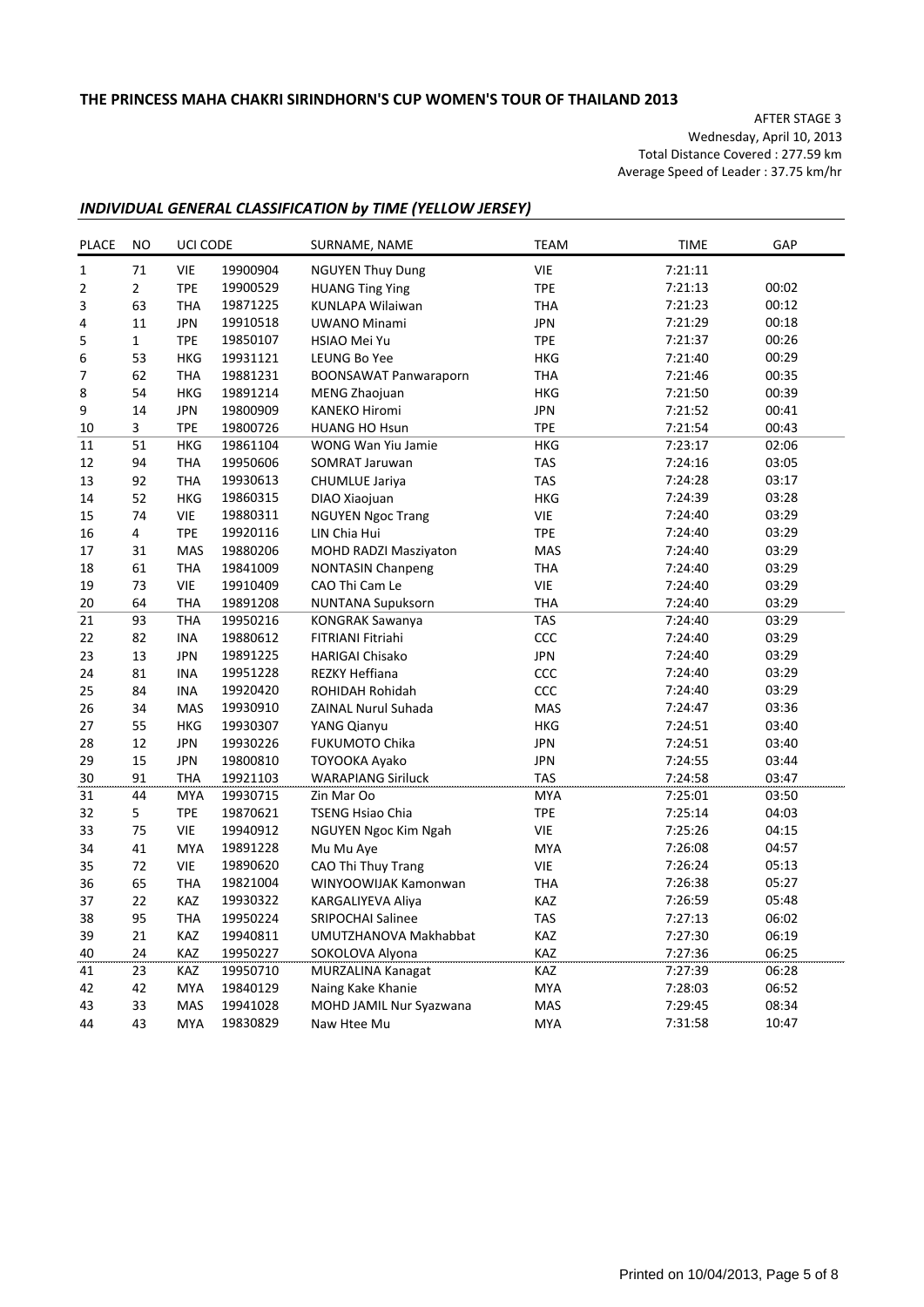AFTER STAGE 3 Wednesday, April 10, 2013 Total Distance Covered : 277.59 km Average Speed of Leader : 37.75 km/hr

## *INDIVIDUAL GENERAL CLASSIFICATION by TIME (YELLOW JERSEY)*

| <b>PLACE</b>   | <b>NO</b>      | UCI CODE                        |                                  | SURNAME, NAME                                               | <b>TEAM</b>                     | <b>TIME</b>                   | GAP                     |
|----------------|----------------|---------------------------------|----------------------------------|-------------------------------------------------------------|---------------------------------|-------------------------------|-------------------------|
| $\mathbf{1}$   | 71             | <b>VIE</b>                      | 19900904                         | <b>NGUYEN Thuy Dung</b>                                     | <b>VIE</b>                      | 7:21:11                       |                         |
| $\overline{2}$ | $\overline{2}$ | <b>TPE</b>                      | 19900529                         | <b>HUANG Ting Ying</b>                                      | <b>TPE</b>                      | 7:21:13                       | 00:02                   |
| 3              | 63             | <b>THA</b>                      | 19871225                         | KUNLAPA Wilaiwan                                            | <b>THA</b>                      | 7:21:23                       | 00:12                   |
| 4              | 11             | <b>JPN</b>                      | 19910518                         | <b>UWANO Minami</b>                                         | <b>JPN</b>                      | 7:21:29                       | 00:18                   |
| 5              | $\mathbf{1}$   | <b>TPE</b>                      | 19850107                         | HSIAO Mei Yu                                                | <b>TPE</b>                      | 7:21:37                       | 00:26                   |
| 6              | 53             | <b>HKG</b>                      | 19931121                         | LEUNG Bo Yee                                                | <b>HKG</b>                      | 7:21:40                       | 00:29                   |
| 7              | 62             | <b>THA</b>                      | 19881231                         | <b>BOONSAWAT Panwaraporn</b>                                | <b>THA</b>                      | 7:21:46                       | 00:35                   |
| 8              | 54             | <b>HKG</b>                      | 19891214                         | MENG Zhaojuan                                               | <b>HKG</b>                      | 7:21:50                       | 00:39                   |
| 9              | 14             | <b>JPN</b>                      | 19800909                         | <b>KANEKO Hiromi</b>                                        | <b>JPN</b>                      | 7:21:52                       | 00:41                   |
| 10             | 3              | <b>TPE</b>                      | 19800726                         | <b>HUANG HO Hsun</b>                                        | <b>TPE</b>                      | 7:21:54                       | 00:43                   |
| 11             | 51             | <b>HKG</b>                      | 19861104                         | WONG Wan Yiu Jamie                                          | <b>HKG</b>                      | 7:23:17                       | 02:06                   |
| 12             | 94             | <b>THA</b>                      | 19950606                         | <b>SOMRAT Jaruwan</b>                                       | <b>TAS</b>                      | 7:24:16                       | 03:05                   |
| 13             | 92             | <b>THA</b>                      | 19930613                         | CHUMLUE Jariya                                              | TAS                             | 7:24:28                       | 03:17                   |
| 14             | 52             | <b>HKG</b>                      | 19860315                         | DIAO Xiaojuan                                               | <b>HKG</b>                      | 7:24:39                       | 03:28                   |
| 15             | 74             | <b>VIE</b>                      | 19880311                         | <b>NGUYEN Ngoc Trang</b>                                    | VIE                             | 7:24:40                       | 03:29                   |
| 16             | 4              | <b>TPE</b>                      | 19920116                         | LIN Chia Hui                                                | <b>TPE</b>                      | 7:24:40                       | 03:29                   |
| 17             | 31             | MAS                             | 19880206                         | MOHD RADZI Masziyaton                                       | MAS                             | 7:24:40                       | 03:29                   |
| 18             | 61             | <b>THA</b>                      | 19841009                         | <b>NONTASIN Chanpeng</b>                                    | <b>THA</b>                      | 7:24:40                       | 03:29                   |
| 19             | 73             | <b>VIE</b>                      | 19910409                         | CAO Thi Cam Le                                              | VIE                             | 7:24:40                       | 03:29                   |
| 20             | 64             | <b>THA</b>                      | 19891208                         | <b>NUNTANA Supuksorn</b>                                    | <b>THA</b>                      | 7:24:40                       | 03:29                   |
| 21             | 93             | <b>THA</b>                      | 19950216                         | <b>KONGRAK Sawanya</b>                                      | <b>TAS</b>                      | 7:24:40                       | 03:29                   |
| 22             | 82             | INA                             | 19880612                         | FITRIANI Fitriahi                                           | CCC                             | 7:24:40                       | 03:29                   |
| 23             | 13             | <b>JPN</b>                      | 19891225                         | <b>HARIGAI Chisako</b>                                      | <b>JPN</b>                      | 7:24:40                       | 03:29                   |
| 24             | 81             | <b>INA</b>                      | 19951228                         | <b>REZKY Heffiana</b>                                       | CCC                             | 7:24:40                       | 03:29                   |
| 25             | 84             | INA                             | 19920420                         | <b>ROHIDAH Rohidah</b>                                      | <b>CCC</b>                      | 7:24:40                       | 03:29                   |
| 26             | 34             | MAS                             | 19930910                         | ZAINAL Nurul Suhada                                         | MAS                             | 7:24:47                       | 03:36                   |
| 27             | 55             | HKG                             | 19930307                         | YANG Qianyu                                                 | <b>HKG</b>                      | 7:24:51                       | 03:40                   |
| 28             | 12             | <b>JPN</b>                      | 19930226                         | <b>FUKUMOTO Chika</b>                                       | <b>JPN</b>                      | 7:24:51                       | 03:40                   |
| 29             | 15             | <b>JPN</b>                      | 19800810                         | TOYOOKA Ayako                                               | <b>JPN</b>                      | 7:24:55                       | 03:44                   |
| 30             | 91             | <b>THA</b>                      | 19921103                         | <b>WARAPIANG Siriluck</b>                                   | <b>TAS</b>                      | 7:24:58                       | 03:47                   |
| 31             | 44             | <b>MYA</b>                      | 19930715                         | Zin Mar Oo                                                  | <b>MYA</b>                      | 7:25:01                       | 03:50                   |
| 32             | 5              | <b>TPE</b>                      | 19870621                         | <b>TSENG Hsiao Chia</b>                                     | <b>TPE</b>                      | 7:25:14                       | 04:03                   |
| 33             | 75             | <b>VIE</b>                      | 19940912                         | NGUYEN Ngoc Kim Ngah                                        | VIE                             | 7:25:26                       | 04:15                   |
| 34             | 41             | <b>MYA</b>                      | 19891228                         | Mu Mu Aye                                                   | <b>MYA</b>                      | 7:26:08                       | 04:57                   |
| 35             | 72             | <b>VIE</b>                      | 19890620                         | <b>CAO Thi Thuy Trang</b>                                   | <b>VIE</b>                      | 7:26:24                       | 05:13                   |
| 36             | 65             | <b>THA</b>                      | 19821004                         | WINYOOWIJAK Kamonwan                                        | <b>THA</b>                      | 7:26:38                       | 05:27                   |
| 37             | 22             | KAZ                             | 19930322                         | KARGALIYEVA Aliya                                           | <b>KAZ</b>                      | 7:26:59                       | 05:48                   |
| 38             | 95             | <b>THA</b>                      | 19950224                         | <b>SRIPOCHAI Salinee</b>                                    | <b>TAS</b>                      | 7:27:13                       | 06:02                   |
| 39             | 21             | KAZ                             | 19940811                         | UMUTZHANOVA Makhabbat                                       | KAZ                             | 7:27:30                       | 06:19                   |
| 40             | 24             | KAZ                             | 19950227                         | SOKOLOVA Alyona                                             | KAZ                             | 7:27:36                       | 06:25                   |
| 41             | 23             | KAZ                             | 19950710                         | MURZALINA Kanagat                                           | KAZ                             | 7:27:39                       | 06:28                   |
|                |                |                                 |                                  |                                                             |                                 |                               |                         |
|                |                |                                 |                                  |                                                             |                                 |                               |                         |
|                |                |                                 |                                  |                                                             |                                 |                               |                         |
| 42<br>43<br>44 | 42<br>33<br>43 | <b>MYA</b><br>MAS<br><b>MYA</b> | 19840129<br>19941028<br>19830829 | Naing Kake Khanie<br>MOHD JAMIL Nur Syazwana<br>Naw Htee Mu | <b>MYA</b><br>MAS<br><b>MYA</b> | 7:28:03<br>7:29:45<br>7:31:58 | 06:52<br>08:34<br>10:47 |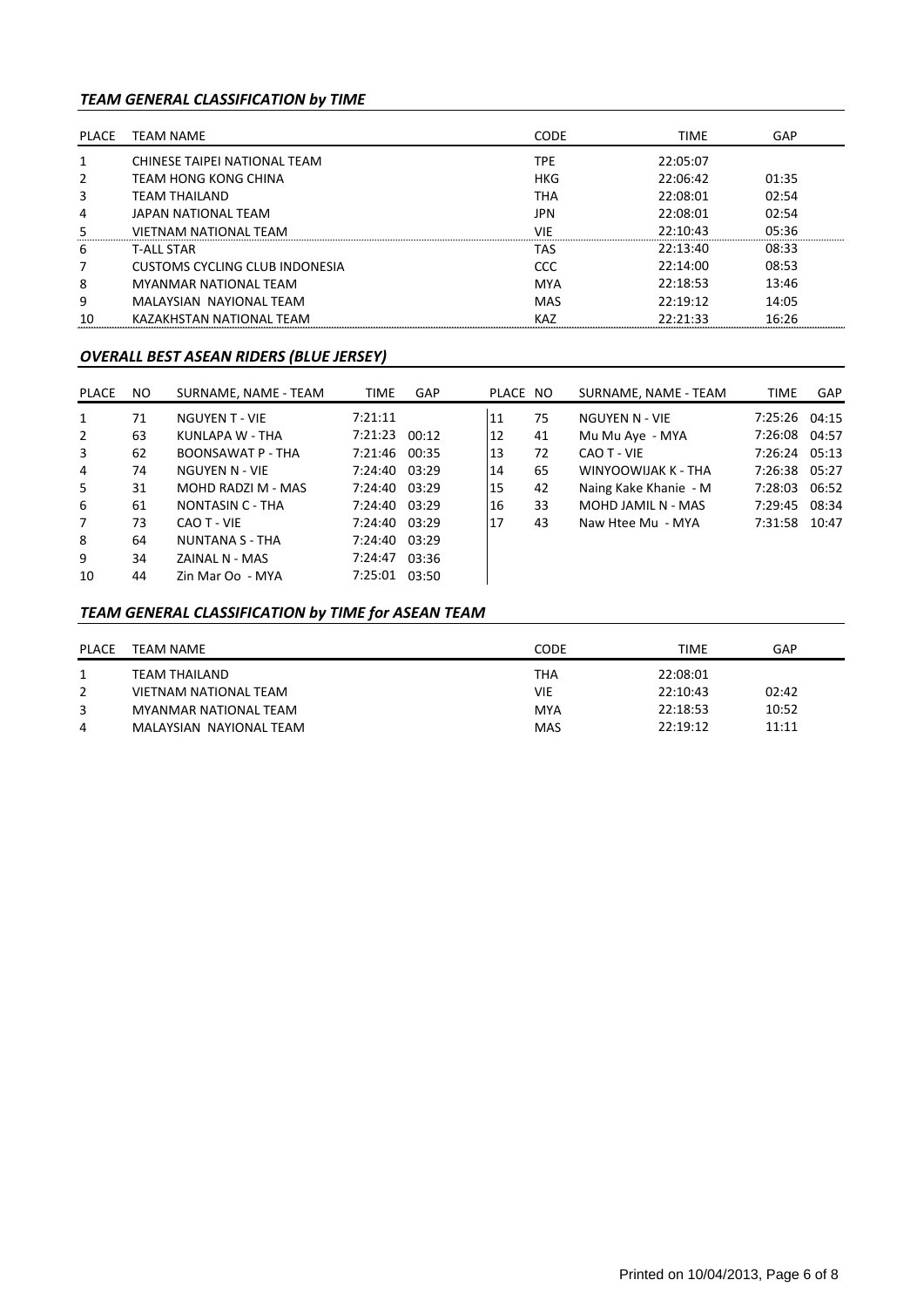## *TEAM GENERAL CLASSIFICATION by TIME*

| PLACE | <b>TEAM NAME</b>               | <b>CODE</b> | <b>TIME</b> | GAP   |
|-------|--------------------------------|-------------|-------------|-------|
|       | CHINESE TAIPEI NATIONAL TEAM   | <b>TPE</b>  | 22:05:07    |       |
| 2     | TEAM HONG KONG CHINA           | <b>HKG</b>  | 22:06:42    | 01:35 |
| 3     | TFAM THAILAND                  | <b>THA</b>  | 22:08:01    | 02:54 |
| 4     | JAPAN NATIONAL TEAM            | <b>JPN</b>  | 22:08:01    | 02:54 |
| 5     | VIETNAM NATIONAL TEAM          | VIE         | 22:10:43    | 05:36 |
| 6     | <b>T-ALL STAR</b>              | TAS         | 22:13:40    | 08:33 |
| 7     | CUSTOMS CYCLING CLUB INDONESIA | CCC         | 22:14:00    | 08:53 |
| 8     | MYANMAR NATIONAL TFAM          | <b>MYA</b>  | 22:18:53    | 13:46 |
| 9     | MALAYSIAN NAYIONAL TEAM        | MAS         | 22:19:12    | 14:05 |
| 10    | KAZAKHSTAN NATIONAL TEAM       | <b>KAZ</b>  | 22:21:33    | 16:26 |

### *OVERALL BEST ASEAN RIDERS (BLUE JERSEY)*

| PLACE          | NO. | SURNAME, NAME - TEAM    | <b>TIME</b>   | GAP | PLACE NO |    | SURNAME, NAME - TEAM  | <b>TIME</b>   | <b>GAP</b> |
|----------------|-----|-------------------------|---------------|-----|----------|----|-----------------------|---------------|------------|
| 1              | 71  | <b>NGUYEN T - VIE</b>   | 7:21:11       |     | 11       | 75 | NGUYEN N - VIE        | 7:25:26 04:15 |            |
| 2              | 63  | KUNLAPA W - THA         | 7:21:23 00:12 |     | 12       | 41 | Mu Mu Aye - MYA       | 7:26:08 04:57 |            |
| 3              | 62  | BOONSAWAT P - THA       | 7:21:46 00:35 |     | 13       | 72 | CAO T - VIE           | 7:26:24 05:13 |            |
| 4              | 74  | NGUYEN N - VIE          | 7:24:40 03:29 |     | 14       | 65 | WINYOOWIJAK K - THA   | 7:26:38 05:27 |            |
| 5              | 31  | MOHD RADZI M - MAS      | 7:24:40 03:29 |     | 15       | 42 | Naing Kake Khanie - M | 7:28:03       | 06:52      |
| 6              | 61  | <b>NONTASIN C - THA</b> | 7:24:40 03:29 |     | 16       | 33 | MOHD JAMIL N - MAS    | 7:29:45 08:34 |            |
| $\overline{7}$ | 73  | CAO T - VIE             | 7:24:40 03:29 |     | 17       | 43 | Naw Htee Mu - MYA     | 7:31:58 10:47 |            |
| 8              | 64  | NUNTANA S - THA         | 7:24:40 03:29 |     |          |    |                       |               |            |
| 9              | 34  | ZAINAL N - MAS          | 7:24:47 03:36 |     |          |    |                       |               |            |
| 10             | 44  | Zin Mar Oo - MYA        | 7:25:01 03:50 |     |          |    |                       |               |            |

# *TEAM GENERAL CLASSIFICATION by TIME for ASEAN TEAM*

| <b>PLACE</b> | TEAM NAME               | CODE       | TIME     | GAP   |
|--------------|-------------------------|------------|----------|-------|
|              | TEAM THAILAND           | THA        | 22:08:01 |       |
|              | VIETNAM NATIONAL TEAM   | VIE        | 22:10:43 | 02:42 |
|              | MYANMAR NATIONAL TEAM   | <b>MYA</b> | 22:18:53 | 10:52 |
| 4            | MALAYSIAN NAYIONAL TEAM | <b>MAS</b> | 22:19:12 | 11:11 |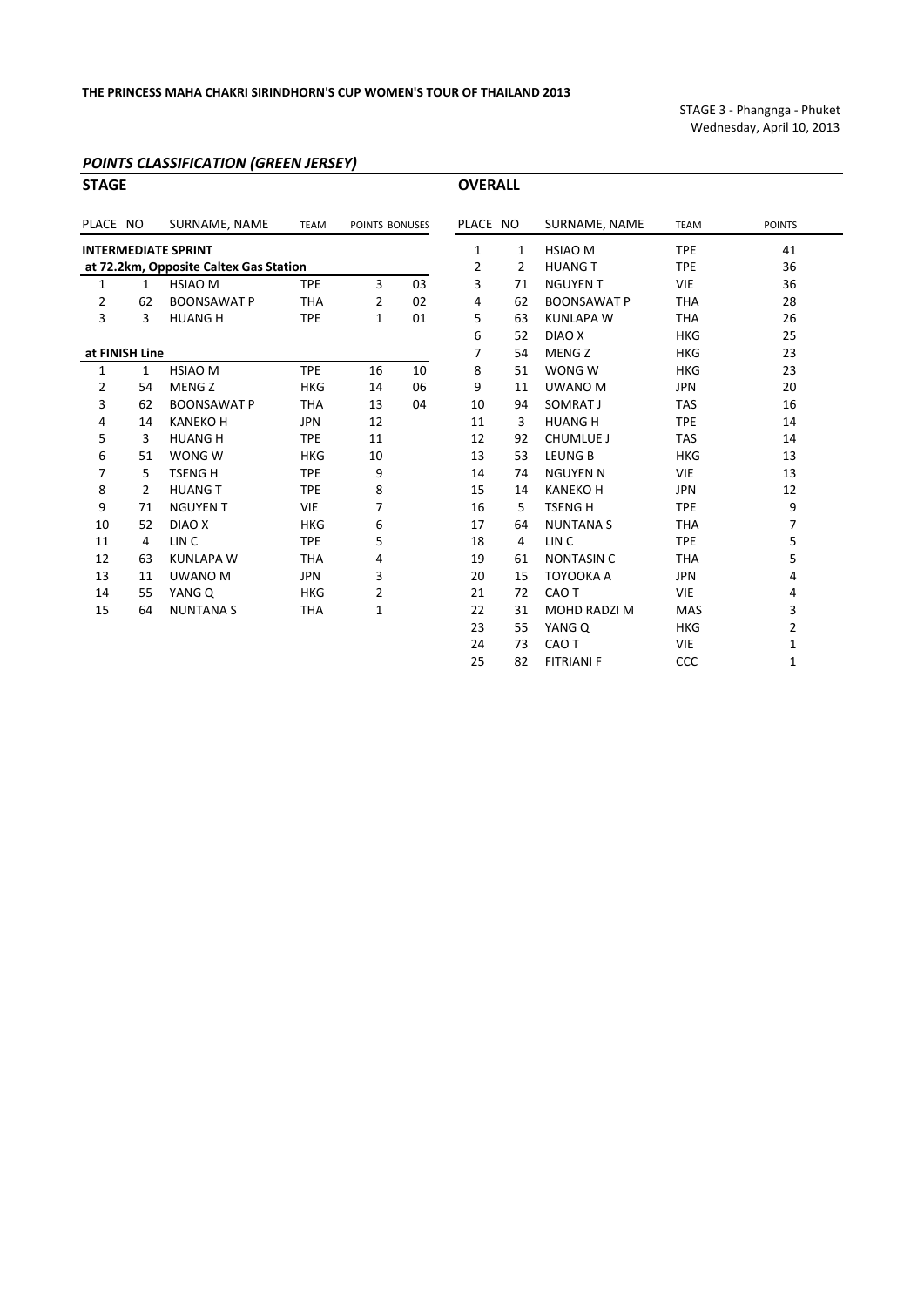STAGE 3 ‐ Phangnga ‐ Phuket Wednesday, April 10, 2013

#### *POINTS CLASSIFICATION (GREEN JERSEY)*

| <b>STAGE</b>   |                |                                        |             |                |    | <b>OVERALL</b> |                |                     |             |                         |
|----------------|----------------|----------------------------------------|-------------|----------------|----|----------------|----------------|---------------------|-------------|-------------------------|
| PLACE NO       |                | SURNAME, NAME                          | <b>TEAM</b> | POINTS BONUSES |    | PLACE NO       |                | SURNAME, NAME       | <b>TEAM</b> | POINTS                  |
|                |                | <b>INTERMEDIATE SPRINT</b>             |             |                |    | $\mathbf{1}$   | $\mathbf{1}$   | <b>HSIAO M</b>      | <b>TPE</b>  | 41                      |
|                |                | at 72.2km, Opposite Caltex Gas Station |             |                |    | 2              | $\overline{2}$ | <b>HUANG T</b>      | <b>TPE</b>  | 36                      |
| 1              | $\mathbf{1}$   | <b>HSIAO M</b>                         | <b>TPE</b>  | 3              | 03 | 3              | 71             | <b>NGUYENT</b>      | <b>VIE</b>  | 36                      |
| 2              | 62             | <b>BOONSAWAT P</b>                     | <b>THA</b>  | 2              | 02 | 4              | 62             | <b>BOONSAWAT P</b>  | <b>THA</b>  | 28                      |
| 3              | 3              | <b>HUANG H</b>                         | <b>TPE</b>  | $\mathbf{1}$   | 01 | 5              | 63             | <b>KUNLAPA W</b>    | <b>THA</b>  | 26                      |
|                |                |                                        |             |                |    | 6              | 52             | DIAO X              | <b>HKG</b>  | 25                      |
|                | at FINISH Line |                                        |             |                |    | 7              | 54             | MENG <sub>Z</sub>   | <b>HKG</b>  | 23                      |
| 1              | $\mathbf{1}$   | <b>HSIAO M</b>                         | <b>TPE</b>  | 16             | 10 | 8              | 51             | WONG W              | <b>HKG</b>  | 23                      |
| $\overline{2}$ | 54             | <b>MENG Z</b>                          | <b>HKG</b>  | 14             | 06 | 9              | 11             | <b>UWANO M</b>      | <b>JPN</b>  | 20                      |
| 3              | 62             | <b>BOONSAWAT P</b>                     | <b>THA</b>  | 13             | 04 | 10             | 94             | SOMRAT J            | <b>TAS</b>  | 16                      |
| 4              | 14             | <b>KANEKO H</b>                        | <b>JPN</b>  | 12             |    | 11             | 3              | <b>HUANG H</b>      | <b>TPE</b>  | 14                      |
| 5              | 3              | <b>HUANG H</b>                         | <b>TPE</b>  | 11             |    | 12             | 92             | <b>CHUMLUE J</b>    | <b>TAS</b>  | 14                      |
| 6              | 51             | WONG W                                 | <b>HKG</b>  | 10             |    | 13             | 53             | <b>LEUNG B</b>      | <b>HKG</b>  | 13                      |
| 7              | 5              | <b>TSENGH</b>                          | <b>TPE</b>  | 9              |    | 14             | 74             | <b>NGUYEN N</b>     | <b>VIE</b>  | 13                      |
| 8              | 2              | <b>HUANG T</b>                         | <b>TPE</b>  | 8              |    | 15             | 14             | <b>KANEKO H</b>     | <b>JPN</b>  | 12                      |
| 9              | 71             | <b>NGUYEN T</b>                        | <b>VIE</b>  | 7              |    | 16             | 5              | <b>TSENGH</b>       | <b>TPE</b>  | 9                       |
| 10             | 52             | DIAO X                                 | <b>HKG</b>  | 6              |    | 17             | 64             | <b>NUNTANA S</b>    | <b>THA</b>  | 7                       |
| 11             | 4              | LIN <sub>C</sub>                       | <b>TPE</b>  | 5              |    | 18             | 4              | LIN <sub>C</sub>    | <b>TPE</b>  | 5                       |
| 12             | 63             | <b>KUNLAPA W</b>                       | <b>THA</b>  | 4              |    | 19             | 61             | <b>NONTASIN C</b>   | <b>THA</b>  | 5                       |
| 13             | 11             | <b>UWANO M</b>                         | <b>JPN</b>  | 3              |    | 20             | 15             | TOYOOKA A           | <b>JPN</b>  | 4                       |
| 14             | 55             | YANG Q                                 | <b>HKG</b>  | 2              |    | 21             | 72             | CAO T               | <b>VIE</b>  | 4                       |
| 15             | 64             | <b>NUNTANA S</b>                       | <b>THA</b>  | 1              |    | 22             | 31             | <b>MOHD RADZI M</b> | <b>MAS</b>  | 3                       |
|                |                |                                        |             |                |    | 23             | 55             | YANG Q              | <b>HKG</b>  | $\overline{\mathbf{c}}$ |

|                |    | LACE NO SURNAME, NAME | <b>TEAM</b> | <b>POINTS</b> |
|----------------|----|-----------------------|-------------|---------------|
| 1              | 1  | <b>HSIAO M</b>        | <b>TPE</b>  | 41            |
| $\overline{2}$ | 2  | <b>HUANG T</b>        | <b>TPE</b>  | 36            |
| 3              | 71 | NGUYEN T              | <b>VIE</b>  | 36            |
| 4              | 62 | BOONSAWAT P           | <b>THA</b>  | 28            |
| 5              | 63 | <b>KUNLAPA W</b>      | <b>THA</b>  | 26            |
| 6              | 52 | DIAO X                | HKG         | 25            |
| 7              | 54 | MENG Z                | <b>HKG</b>  | 23            |
| 8              | 51 | WONG W                | <b>HKG</b>  | 23            |
| 9              | 11 | UWANO M               | <b>JPN</b>  | 20            |
| 10             | 94 | SOMRAT J              | <b>TAS</b>  | 16            |
| 11             | 3  | HUANG H               | <b>TPE</b>  | 14            |
| 12             | 92 | CHUMLUE J             | <b>TAS</b>  | 14            |
| 13             | 53 | <b>LEUNG B</b>        | <b>HKG</b>  | 13            |
| 14             | 74 | NGUYEN N              | <b>VIE</b>  | 13            |
| 15             | 14 | KANEKO H              | <b>JPN</b>  | 12            |
| 16             | 5  | <b>TSENG H</b>        | <b>TPE</b>  | 9             |
| 17             | 64 | NUNTANA S             | <b>THA</b>  | 7             |
| 18             | 4  | LIN <sub>C</sub>      | <b>TPE</b>  | 5             |
| 19             | 61 | NONTASIN C            | <b>THA</b>  | 5             |
| 20             | 15 | TOYOOKA A             | <b>JPN</b>  | 4             |
| 21             | 72 | CAO T                 | <b>VIE</b>  | 4             |
| 22             | 31 | MOHD RADZI M          | <b>MAS</b>  | 3             |
| 23             | 55 | YANG Q                | <b>HKG</b>  | 2             |
| 24             | 73 | CAO T                 | <b>VIE</b>  | $\mathbf{1}$  |
| 25             | 82 | <b>FITRIANI F</b>     | CCC         | 1             |